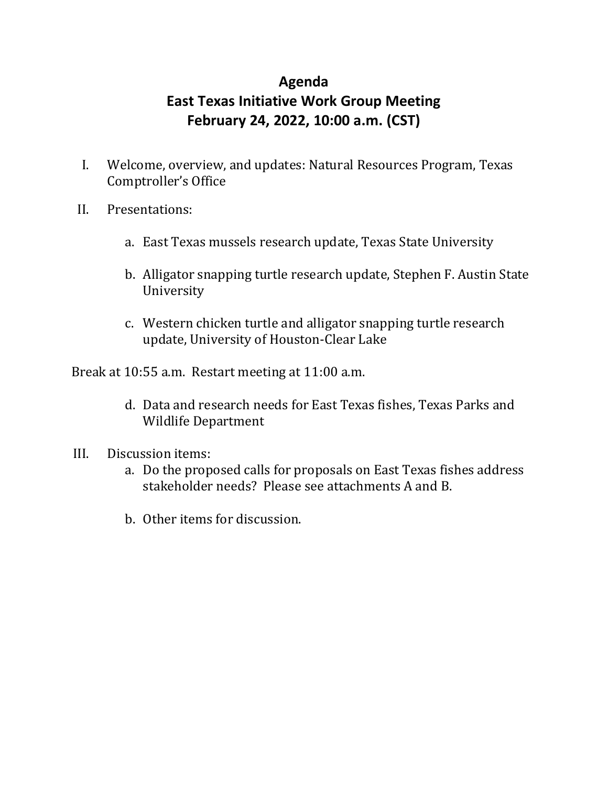# **Agenda East Texas Initiative Work Group Meeting February 24, 2022, 10:00 a.m. (CST)**

- I. Welcome, overview, and updates: Natural Resources Program, Texas Comptroller's Office
- II. Presentations:
	- a. East Texas mussels research update, Texas State University
	- b. Alligator snapping turtle research update, Stephen F. Austin State University
	- c. Western chicken turtle and alligator snapping turtle research update, University of Houston-Clear Lake

Break at 10:55 a.m. Restart meeting at 11:00 a.m.

- d. Data and research needs for East Texas fishes, Texas Parks and Wildlife Department
- III. Discussion items:
	- a. Do the proposed calls for proposals on East Texas fishes address stakeholder needs? Please see attachments A and B.
	- b. Other items for discussion.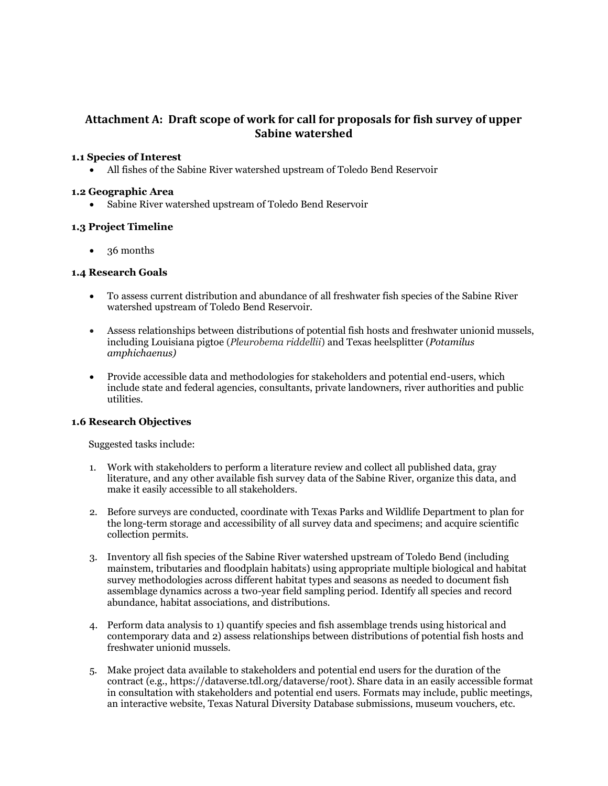# **Attachment A: Draft scope of work for call for proposals for fish survey of upper Sabine watershed**

### **1.1 Species of Interest**

• All fishes of the Sabine River watershed upstream of Toledo Bend Reservoir

### **1.2 Geographic Area**

• Sabine River watershed upstream of Toledo Bend Reservoir

## **1.3 Project Timeline**

• 36 months

### **1.4 Research Goals**

- To assess current distribution and abundance of all freshwater fish species of the Sabine River watershed upstream of Toledo Bend Reservoir.
- Assess relationships between distributions of potential fish hosts and freshwater unionid mussels, including Louisiana pigtoe (*Pleurobema riddellii*) and Texas heelsplitter (*Potamilus amphichaenus)*
- Provide accessible data and methodologies for stakeholders and potential end-users, which include state and federal agencies, consultants, private landowners, river authorities and public utilities.

#### **1.6 Research Objectives**

Suggested tasks include:

- 1. Work with stakeholders to perform a literature review and collect all published data, gray literature, and any other available fish survey data of the Sabine River, organize this data, and make it easily accessible to all stakeholders.
- 2. Before surveys are conducted, coordinate with Texas Parks and Wildlife Department to plan for the long-term storage and accessibility of all survey data and specimens; and acquire scientific collection permits.
- 3. Inventory all fish species of the Sabine River watershed upstream of Toledo Bend (including mainstem, tributaries and floodplain habitats) using appropriate multiple biological and habitat survey methodologies across different habitat types and seasons as needed to document fish assemblage dynamics across a two-year field sampling period. Identify all species and record abundance, habitat associations, and distributions.
- 4. Perform data analysis to 1) quantify species and fish assemblage trends using historical and contemporary data and 2) assess relationships between distributions of potential fish hosts and freshwater unionid mussels.
- 5. Make project data available to stakeholders and potential end users for the duration of the contract (e.g., https://dataverse.tdl.org/dataverse/root). Share data in an easily accessible format in consultation with stakeholders and potential end users. Formats may include, public meetings, an interactive website, Texas Natural Diversity Database submissions, museum vouchers, etc.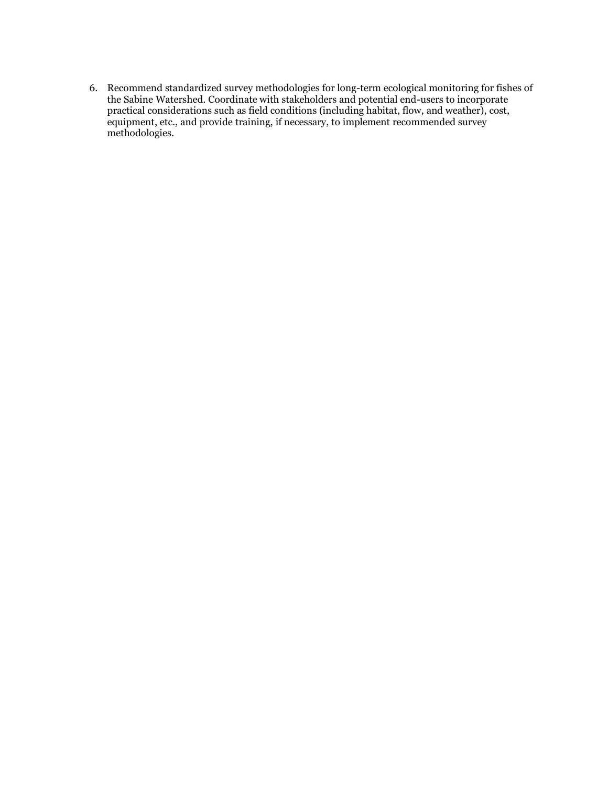6. Recommend standardized survey methodologies for long-term ecological monitoring for fishes of the Sabine Watershed. Coordinate with stakeholders and potential end-users to incorporate practical considerations such as field conditions (including habitat, flow, and weather), cost, equipment, etc., and provide training, if necessary, to implement recommended survey methodologies.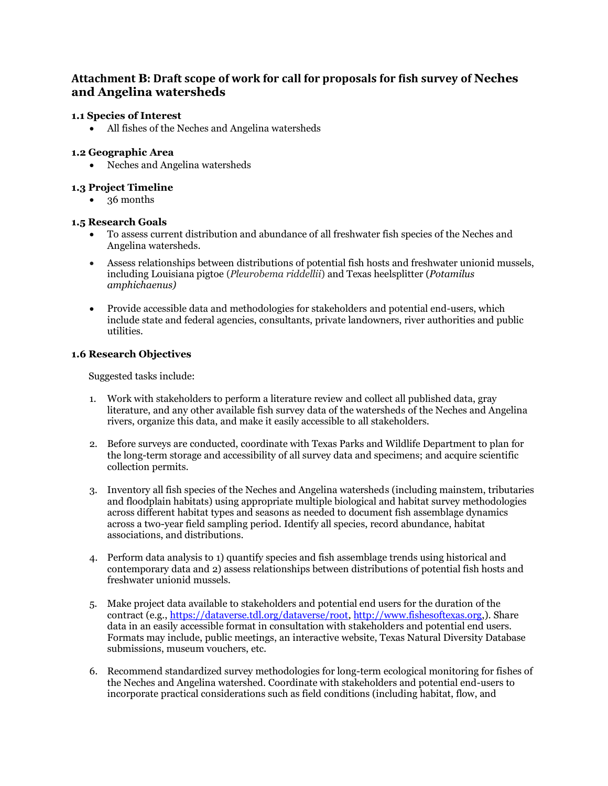# **Attachment B: Draft scope of work for call for proposals for fish survey of Neches and Angelina watersheds**

### **1.1 Species of Interest**

• All fishes of the Neches and Angelina watersheds

### **1.2 Geographic Area**

• Neches and Angelina watersheds

### **1.3 Project Timeline**

• 36 months

### **1.5 Research Goals**

- To assess current distribution and abundance of all freshwater fish species of the Neches and Angelina watersheds.
- Assess relationships between distributions of potential fish hosts and freshwater unionid mussels, including Louisiana pigtoe (*Pleurobema riddellii*) and Texas heelsplitter (*Potamilus amphichaenus)*
- Provide accessible data and methodologies for stakeholders and potential end-users, which include state and federal agencies, consultants, private landowners, river authorities and public utilities.

#### **1.6 Research Objectives**

Suggested tasks include:

- 1. Work with stakeholders to perform a literature review and collect all published data, gray literature, and any other available fish survey data of the watersheds of the Neches and Angelina rivers, organize this data, and make it easily accessible to all stakeholders.
- 2. Before surveys are conducted, coordinate with Texas Parks and Wildlife Department to plan for the long-term storage and accessibility of all survey data and specimens; and acquire scientific collection permits.
- 3. Inventory all fish species of the Neches and Angelina watersheds (including mainstem, tributaries and floodplain habitats) using appropriate multiple biological and habitat survey methodologies across different habitat types and seasons as needed to document fish assemblage dynamics across a two-year field sampling period. Identify all species, record abundance, habitat associations, and distributions.
- 4. Perform data analysis to 1) quantify species and fish assemblage trends using historical and contemporary data and 2) assess relationships between distributions of potential fish hosts and freshwater unionid mussels.
- 5. Make project data available to stakeholders and potential end users for the duration of the contract (e.g., [https://dataverse.tdl.org/dataverse/root,](https://dataverse.tdl.org/dataverse/root) [http://www.fishesoftexas.org,](http://www.fishesoftexas.org/)). Share data in an easily accessible format in consultation with stakeholders and potential end users. Formats may include, public meetings, an interactive website, Texas Natural Diversity Database submissions, museum vouchers, etc.
- 6. Recommend standardized survey methodologies for long-term ecological monitoring for fishes of the Neches and Angelina watershed. Coordinate with stakeholders and potential end-users to incorporate practical considerations such as field conditions (including habitat, flow, and